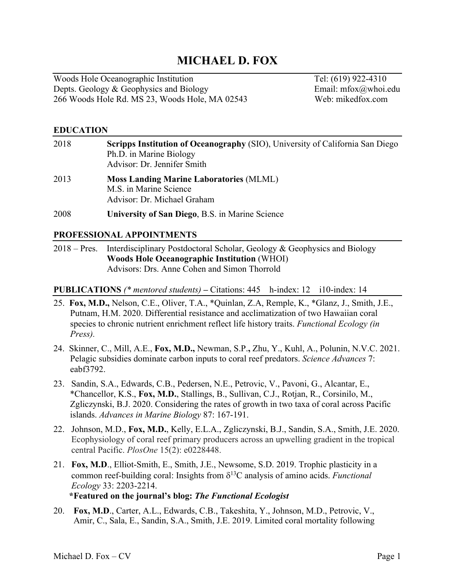# **MICHAEL D. FOX**

Woods Hole Oceanographic Institution Tel: (619) 922-4310 Depts. Geology & Geophysics and Biology **Email:** mfox@whoi.edu 266 Woods Hole Rd. MS 23, Woods Hole, MA 02543 Web: mikedfox.com

#### **EDUCATION**

| 2018 | Scripps Institution of Oceanography (SIO), University of California San Diego<br>Ph.D. in Marine Biology<br>Advisor: Dr. Jennifer Smith |
|------|-----------------------------------------------------------------------------------------------------------------------------------------|
| 2013 | <b>Moss Landing Marine Laboratories (MLML)</b><br>M.S. in Marine Science<br>Advisor: Dr. Michael Graham                                 |
| 2008 | University of San Diego, B.S. in Marine Science                                                                                         |

#### **PROFESSIONAL APPOINTMENTS**

2018 – Pres. Interdisciplinary Postdoctoral Scholar, Geology & Geophysics and Biology **Woods Hole Oceanographic Institution** (WHOI) Advisors: Drs. Anne Cohen and Simon Thorrold

**PUBLICATIONS** *(\* mentored students)* **–** Citations: 445 h-index: 12 i10-index: 14

- 25. **Fox, M.D.,** Nelson, C.E., Oliver, T.A., \*Quinlan, Z.A, Remple, K., \*Glanz, J., Smith, J.E., Putnam, H.M. 2020. Differential resistance and acclimatization of two Hawaiian coral species to chronic nutrient enrichment reflect life history traits. *Functional Ecology (in Press).*
- 24. Skinner, C., Mill, A.E., **Fox, M.D.,** Newman, S.P.**,** Zhu, Y., Kuhl, A., Polunin, N.V.C. 2021. Pelagic subsidies dominate carbon inputs to coral reef predators. *Science Advances* 7: eabf3792.
- 23. Sandin, S.A., Edwards, C.B., Pedersen, N.E., Petrovic, V., Pavoni, G., Alcantar, E., \*Chancellor, K.S., **Fox, M.D.**, Stallings, B., Sullivan, C.J., Rotjan, R., Corsinilo, M., Zgliczynski, B.J. 2020. Considering the rates of growth in two taxa of coral across Pacific islands. *Advances in Marine Biology* 87: 167-191.
- 22. Johnson, M.D., **Fox, M.D.**, Kelly, E.L.A., Zgliczynski, B.J., Sandin, S.A., Smith, J.E. 2020. Ecophysiology of coral reef primary producers across an upwelling gradient in the tropical central Pacific. *PlosOne* 15(2): e0228448.
- 21. **Fox, M.D**., Elliot-Smith, E., Smith, J.E., Newsome, S.D. 2019. Trophic plasticity in a common reef-building coral: Insights from  $\delta^{13}$ C analysis of amino acids. *Functional Ecology* 33: 2203-2214.  **\*Featured on the journal's blog:** *The Functional Ecologist*
- 20. **Fox, M.D**., Carter, A.L., Edwards, C.B., Takeshita, Y., Johnson, M.D., Petrovic, V., Amir, C., Sala, E., Sandin, S.A., Smith, J.E. 2019. Limited coral mortality following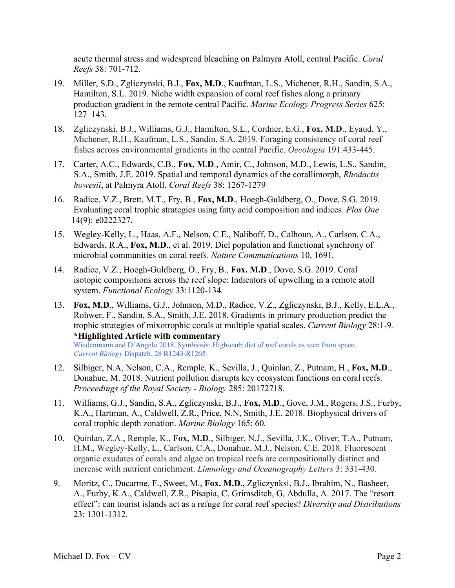acute thermal stress and widespread bleaching on Palmyra Atoll, central Pacific. *Coral Reefs* 38: 701-712.

- 19. Miller, S.D., Zgliczynski, B.J., **Fox, M.D**., Kaufman, L.S., Michener, R.H., Sandin, S.A., Hamilton, S.L. 2019. Niche width expansion of coral reef fishes along a primary production gradient in the remote central Pacific. *Marine Ecology Progress Series* 625: 127–143*.*
- 18.Zgliczynski, B.J., Williams, G.J., Hamilton, S.L., Cordner, E.G., **Fox, M.D**., Eyaud, Y., Michener, R.H., Kaufman, L.S., Sandin, S.A. 2019. Foraging consistency of coral reef fishes across environmental gradients in the central Pacific. *Oecologia* 191:433-445*.*
- 17. Carter, A.C., Edwards, C.B., **Fox, M.D**., Amir, C., Johnson, M.D., Lewis, L.S., Sandin, S.A., Smith, J.E. 2019. Spatial and temporal dynamics of the corallimorph, *Rhodactis howesii*, at Palmyra Atoll. *Coral Reefs* 38: 1267-1279
- 16.Radice, V.Z., Brett, M.T., Fry, B., **Fox, M.D**., Hoegh-Guldberg, O., Dove, S.G. 2019. Evaluating coral trophic strategies using fatty acid composition and indices. *Plos One* 14(9): e0222327.
- 15. Wegley-Kelly, L., Haas, A.F., Nelson, C.E., Naliboff, D., Calhoun, A., Carlson, C.A., Edwards, R.A., **Fox, M.D**., et al. 2019. Diel population and functional synchrony of microbial communities on coral reefs. *Nature Communications* 10, 1691*.*
- 14. Radice, V.Z., Hoegh-Guldberg, O., Fry, B., **Fox. M.D**., Dove, S.G. 2019. Coral isotopic compositions across the reef slope: Indicators of upwelling in a remote atoll system. *Functional Ecology* 33:1120-134*.*
- 13. **Fox, M.D**., Williams, G.J., Johnson, M.D., Radice, V.Z., Zgliczynski, B.J., Kelly, E.L.A., Rohwer, F., Sandin, S.A., Smith, J.E. 2018. Gradients in primary production predict the trophic strategies of mixotrophic corals at multiple spatial scales. *Current Biology* 28:1-9*.*  **\*Highlighted Article with commentary** Wiedenmann and D'Angelo 2018. Symbiosis: High-carb diet of reef corals as seen from space.  *Current Biology* Dispatch, 28 R1243-R1265.
- 12. Silbiger, N.A, Nelson, C.A., Remple, K., Sevilla, J., Quinlan, Z., Putnam, H., **Fox, M.D**., Donahue, M. 2018. Nutrient pollution disrupts key ecosystem functions on coral reefs. *Proceedings of the Royal Society - Biology* 285: 20172718.
- 11. Williams, G.J., Sandin, S.A., Zgliczynski, B.J., **Fox, M.D**., Gove, J.M., Rogers, J.S., Furby, K.A., Hartman, A., Caldwell, Z.R., Price, N.N, Smith, J.E. 2018. Biophysical drivers of coral trophic depth zonation. *Marine Biology* 165: 60*.*
- 10. Quinlan, Z.A., Remple, K., **Fox, M.D**., Silbiger, N.J., Sevilla, J.K., Oliver, T.A., Putnam, H.M., Wegley-Kelly, L., Carlson, C.A., Donahue, M.J., Nelson, C.E. 2018. Fluorescent organic exudates of corals and algae on tropical reefs are compositionally distinct and increase with nutrient enrichment. *Limnology and Oceanography Letters* 3: 331-430.
- 9. Moritz, C., Ducarme, F., Sweet, M., **Fox. M.D**., Zgliczynksi, B.J., Ibrahim, N., Basheer, A., Furby, K.A., Caldwell, Z.R., Pisapia, C, Grimsditch, G, Abdulla, A. 2017. The "resort effect": can tourist islands act as a refuge for coral reef species? *Diversity and Distributions* 23: 1301-1312.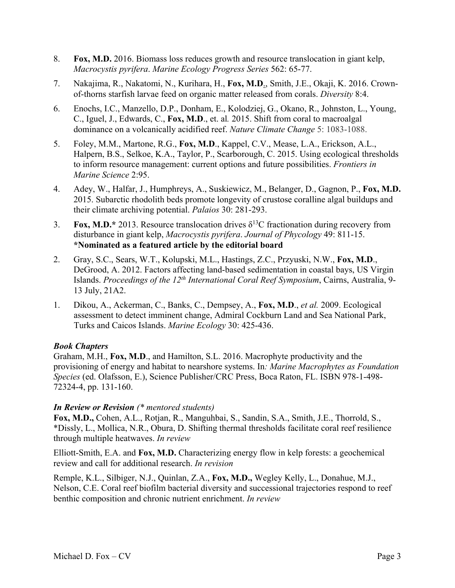- 8. **Fox, M.D.** 2016. Biomass loss reduces growth and resource translocation in giant kelp, *Macrocystis pyrifera*. *Marine Ecology Progress Series* 562: 65-77.
- 7. Nakajima, R., Nakatomi, N., Kurihara, H., **Fox, M.D**., Smith, J.E., Okaji, K. 2016. Crownof-thorns starfish larvae feed on organic matter released from corals. *Diversity* 8:4.
- 6. Enochs, I.C., Manzello, D.P., Donham, E., Kolodziej, G., Okano, R., Johnston, L., Young, C., Iguel, J., Edwards, C., **Fox, M.D**., et. al*.* 2015. Shift from coral to macroalgal dominance on a volcanically acidified reef. *Nature Climate Change* 5: 1083-1088.
- 5. Foley, M.M., Martone, R.G., **Fox, M.D**., Kappel, C.V., Mease, L.A., Erickson, A.L., Halpern, B.S., Selkoe, K.A., Taylor, P., Scarborough, C. 2015. Using ecological thresholds to inform resource management: current options and future possibilities. *Frontiers in Marine Science* 2:95.
- 4. Adey, W., Halfar, J., Humphreys, A., Suskiewicz, M., Belanger, D., Gagnon, P., **Fox, M.D.** 2015. Subarctic rhodolith beds promote longevity of crustose coralline algal buildups and their climate archiving potential. *Palaios* 30: 281-293.
- 3. **Fox, M.D.\*** 2013. Resource translocation drives  $\delta^{13}$ C fractionation during recovery from disturbance in giant kelp, *Macrocystis pyrifera*. *Journal of Phycology* 49: 811-15. **\*Nominated as a featured article by the editorial board**
- 2. Gray, S.C., Sears, W.T., Kolupski, M.L., Hastings, Z.C., Przyuski, N.W., **Fox, M.D**., DeGrood, A. 2012. Factors affecting land-based sedimentation in coastal bays, US Virgin Islands. *Proceedings of the 12th International Coral Reef Symposium*, Cairns, Australia, 9- 13 July, 21A2.
- 1. Dikou, A., Ackerman, C., Banks, C., Dempsey, A., **Fox, M.D**., *et al.* 2009. Ecological assessment to detect imminent change, Admiral Cockburn Land and Sea National Park, Turks and Caicos Islands. *Marine Ecology* 30: 425-436.

## *Book Chapters*

Graham, M.H., **Fox, M.D**., and Hamilton, S.L. 2016. Macrophyte productivity and the provisioning of energy and habitat to nearshore systems. In*: Marine Macrophytes as Foundation Species* (ed. Olafsson, E.), Science Publisher/CRC Press, Boca Raton, FL. ISBN 978-1-498- 72324-4, pp. 131-160.

## *In Review or Revision (\* mentored students)*

**Fox, M.D.,** Cohen, A.L., Rotjan, R., Manguhbai, S., Sandin, S.A., Smith, J.E., Thorrold, S., \*Dissly, L., Mollica, N.R., Obura, D. Shifting thermal thresholds facilitate coral reef resilience through multiple heatwaves. *In review* 

Elliott-Smith, E.A. and **Fox, M.D.** Characterizing energy flow in kelp forests: a geochemical review and call for additional research. *In revision*

Remple, K.L., Silbiger, N.J., Quinlan, Z.A., **Fox, M.D.,** Wegley Kelly, L., Donahue, M.J., Nelson, C.E. Coral reef biofilm bacterial diversity and successional trajectories respond to reef benthic composition and chronic nutrient enrichment. *In review*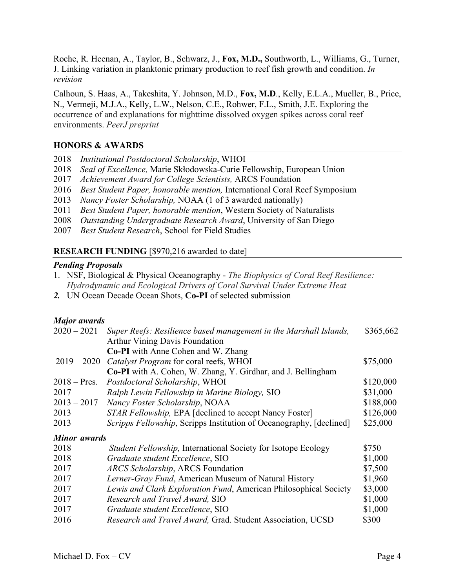Roche, R. Heenan, A., Taylor, B., Schwarz, J., **Fox, M.D.,** Southworth, L., Williams, G., Turner, J. Linking variation in planktonic primary production to reef fish growth and condition. *In revision*

Calhoun, S. Haas, A., Takeshita, Y. Johnson, M.D., **Fox, M.D**., Kelly, E.L.A., Mueller, B., Price, N., Vermeji, M.J.A., Kelly, L.W., Nelson, C.E., Rohwer, F.L., Smith, J.E. Exploring the occurrence of and explanations for nighttime dissolved oxygen spikes across coral reef environments. *PeerJ preprint*

# **HONORS & AWARDS**

|  |  |  | 2018 Institutional Postdoctoral Scholarship, WHOI |  |
|--|--|--|---------------------------------------------------|--|
|--|--|--|---------------------------------------------------|--|

- 2018 *Seal of Excellence,* Marie Skłodowska-Curie Fellowship, European Union
- 2017 *Achievement Award for College Scientists,* ARCS Foundation
- 2016 *Best Student Paper, honorable mention,* International Coral Reef Symposium
- 2013 *Nancy Foster Scholarship,* NOAA (1 of 3 awarded nationally)
- 2011 *Best Student Paper, honorable mention*, Western Society of Naturalists
- 2008 *Outstanding Undergraduate Research Award*, University of San Diego
- 2007 *Best Student Research*, School for Field Studies

## **RESEARCH FUNDING** [\$970,216 awarded to date]

### *Pending Proposals*

- 1. NSF, Biological & Physical Oceanography *The Biophysics of Coral Reef Resilience: Hydrodynamic and Ecological Drivers of Coral Survival Under Extreme Heat*
- *2.* UN Ocean Decade Ocean Shots, **Co-PI** of selected submission

### *Major awards*

| $2020 - 2021$       | Super Reefs: Resilience based management in the Marshall Islands,   | \$365,662 |
|---------------------|---------------------------------------------------------------------|-----------|
|                     | <b>Arthur Vining Davis Foundation</b>                               |           |
|                     | <b>Co-PI</b> with Anne Cohen and W. Zhang                           |           |
| $2019 - 2020$       | Catalyst Program for coral reefs, WHOI                              | \$75,000  |
|                     | <b>Co-PI</b> with A. Cohen, W. Zhang, Y. Girdhar, and J. Bellingham |           |
| $2018$ – Pres.      | Postdoctoral Scholarship, WHOI                                      | \$120,000 |
| 2017                | Ralph Lewin Fellowship in Marine Biology, SIO                       | \$31,000  |
| $2013 - 2017$       | Nancy Foster Scholarship, NOAA                                      | \$188,000 |
| 2013                | <i>STAR Fellowship, EPA [declined to accept Nancy Foster]</i>       | \$126,000 |
| 2013                | Scripps Fellowship, Scripps Institution of Oceanography, [declined] | \$25,000  |
| <b>Minor</b> awards |                                                                     |           |
| 2018                | Student Fellowship, International Society for Isotope Ecology       | \$750     |
| 2018                | Graduate student Excellence, SIO                                    | \$1,000   |
| 2017                | <b>ARCS Scholarship, ARCS Foundation</b>                            | \$7,500   |
| 2017                | Lerner-Gray Fund, American Museum of Natural History                | \$1,960   |
| 2017                | Lewis and Clark Exploration Fund, American Philosophical Society    | \$3,000   |
| 2017                | Research and Travel Award, SIO                                      | \$1,000   |
| 2017                | Graduate student Excellence, SIO                                    | \$1,000   |
| 2016                | Research and Travel Award, Grad. Student Association, UCSD          | \$300     |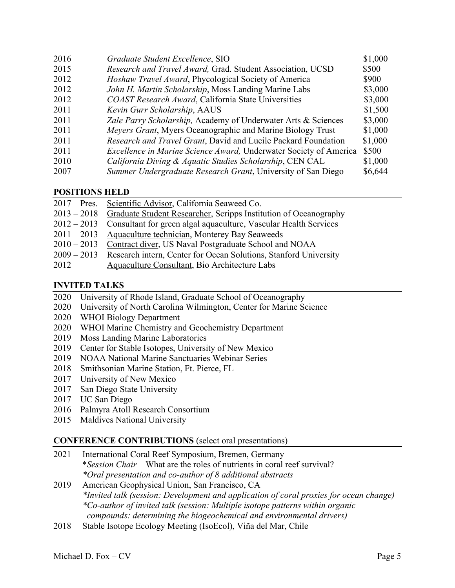| 2016 | Graduate Student Excellence, SIO                                          | \$1,000 |
|------|---------------------------------------------------------------------------|---------|
| 2015 | Research and Travel Award, Grad. Student Association, UCSD                | \$500   |
| 2012 | Hoshaw Travel Award, Phycological Society of America                      | \$900   |
| 2012 | John H. Martin Scholarship, Moss Landing Marine Labs                      | \$3,000 |
| 2012 | COAST Research Award, California State Universities                       | \$3,000 |
| 2011 | Kevin Gurr Scholarship, AAUS                                              | \$1,500 |
| 2011 | Zale Parry Scholarship, Academy of Underwater Arts & Sciences             | \$3,000 |
| 2011 | <i>Meyers Grant</i> , Myers Oceanographic and Marine Biology Trust        | \$1,000 |
| 2011 | Research and Travel Grant, David and Lucile Packard Foundation            | \$1,000 |
| 2011 | <i>Excellence in Marine Science Award</i> , Underwater Society of America | \$500   |
| 2010 | California Diving & Aquatic Studies Scholarship, CEN CAL                  | \$1,000 |
| 2007 | Summer Undergraduate Research Grant, University of San Diego              | \$6,644 |

# **POSITIONS HELD**

| 2017 – Pres. Scientific Advisor, California Seaweed Co.                        |
|--------------------------------------------------------------------------------|
| 2013 – 2018 Graduate Student Researcher, Scripps Institution of Oceanography   |
| $2012 - 2013$ Consultant for green algal aquaculture, Vascular Health Services |
| 2011 – 2013 Aquaculture technician, Monterey Bay Seaweeds                      |
| 2010 – 2013 Contract diver, US Naval Postgraduate School and NOAA              |
| 2009 – 2013 Research intern, Center for Ocean Solutions, Stanford University   |
| Aquaculture Consultant, Bio Architecture Labs                                  |
|                                                                                |

# **INVITED TALKS**

- 2020 University of Rhode Island, Graduate School of Oceanography
- 2020 University of North Carolina Wilmington, Center for Marine Science
- 2020 WHOI Biology Department
- 2020 WHOI Marine Chemistry and Geochemistry Department
- 2019 Moss Landing Marine Laboratories
- 2019 Center for Stable Isotopes, University of New Mexico
- 2019 NOAA National Marine Sanctuaries Webinar Series
- 2018 Smithsonian Marine Station, Ft. Pierce, FL
- 2017 University of New Mexico
- 2017 San Diego State University
- 2017 UC San Diego
- 2016 Palmyra Atoll Research Consortium
- 2015 Maldives National University

## **CONFERENCE CONTRIBUTIONS** (select oral presentations)

- 2021International Coral Reef Symposium, Bremen, Germany \**Session Chair –* What are the roles of nutrients in coral reef survival? *\*Oral presentation and co-author of 8 additional abstracts*
- 2019 American Geophysical Union, San Francisco, CA *\*Invited talk (session: Development and application of coral proxies for ocean change) \*Co-author of invited talk (session: Multiple isotope patterns within organic compounds: determining the biogeochemical and environmental drivers)*
- 2018 Stable Isotope Ecology Meeting (IsoEcol), Viña del Mar, Chile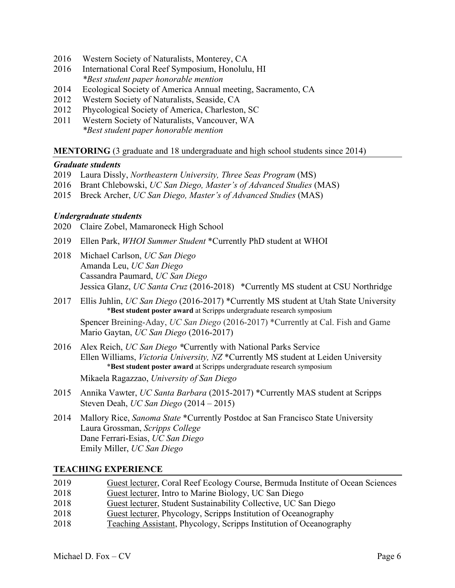- 2016 Western Society of Naturalists, Monterey, CA
- 2016 International Coral Reef Symposium, Honolulu, HI  *\*Best student paper honorable mention*
- 2014 Ecological Society of America Annual meeting, Sacramento, CA
- 2012 Western Society of Naturalists, Seaside, CA
- 2012 Phycological Society of America, Charleston, SC
- 2011Western Society of Naturalists, Vancouver, WA *\*Best student paper honorable mention*

### **MENTORING** (3 graduate and 18 undergraduate and high school students since 2014)

#### *Graduate students*

- 2019 Laura Dissly, *Northeastern University, Three Seas Program* (MS)
- 2016 Brant Chlebowski, *UC San Diego, Master's of Advanced Studies* (MAS)
- 2015 Breck Archer, *UC San Diego, Master's of Advanced Studies* (MAS)

#### *Undergraduate students*

- 2020 Claire Zobel, Mamaroneck High School
- 2019 Ellen Park, *WHOI Summer Student* \*Currently PhD student at WHOI
- 2018 Michael Carlson, *UC San Diego* Amanda Leu, *UC San Diego* Cassandra Paumard, *UC San Diego* Jessica Glanz, *UC Santa Cruz* (2016-2018) \*Currently MS student at CSU Northridge
- 2017 Ellis Juhlin, *UC San Diego* (2016-2017) \*Currently MS student at Utah State University \***Best student poster award** at Scripps undergraduate research symposium

 Spencer Breining-Aday, *UC San Diego* (2016-2017) \*Currently at Cal. Fish and Game Mario Gaytan, *UC San Diego* (2016-2017)

2016 Alex Reich, *UC San Diego \**Currently with National Parks Service Ellen Williams, *Victoria University, NZ* \*Currently MS student at Leiden University \***Best student poster award** at Scripps undergraduate research symposium

Mikaela Ragazzao, *University of San Diego*

- 2015 Annika Vawter, *UC Santa Barbara* (2015-2017) \*Currently MAS student at Scripps Steven Deah, *UC San Diego* (2014 – 2015)
- 2014 Mallory Rice, *Sanoma State* \*Currently Postdoc at San Francisco State University Laura Grossman, *Scripps College* Dane Ferrari-Esias, *UC San Diego* Emily Miller, *UC San Diego*

#### **TEACHING EXPERIENCE**

| 2019 | Guest lecturer, Coral Reef Ecology Course, Bermuda Institute of Ocean Sciences |
|------|--------------------------------------------------------------------------------|
| 2018 | Guest lecturer, Intro to Marine Biology, UC San Diego                          |
| 2018 | Guest lecturer, Student Sustainability Collective, UC San Diego                |
| 2018 | Guest lecturer, Phycology, Scripps Institution of Oceanography                 |
| 2018 | Teaching Assistant, Phycology, Scripps Institution of Oceanography             |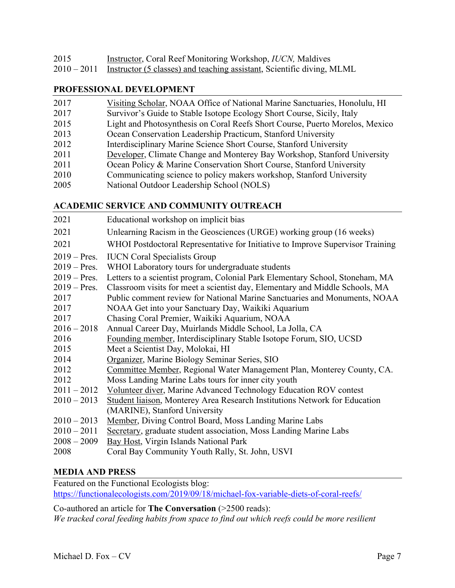| 2015 | <b>Instructor, Coral Reef Monitoring Workshop, IUCN, Maldives</b>                  |
|------|------------------------------------------------------------------------------------|
|      | 2010 – 2011 Instructor (5 classes) and teaching assistant, Scientific diving, MLML |

### **PROFESSIONAL DEVELOPMENT**

| 2017 | Visiting Scholar, NOAA Office of National Marine Sanctuaries, Honolulu, HI   |
|------|------------------------------------------------------------------------------|
| 2017 | Survivor's Guide to Stable Isotope Ecology Short Course, Sicily, Italy       |
| 2015 | Light and Photosynthesis on Coral Reefs Short Course, Puerto Morelos, Mexico |
| 2013 | Ocean Conservation Leadership Practicum, Stanford University                 |
| 2012 | Interdisciplinary Marine Science Short Course, Stanford University           |
| 2011 | Developer, Climate Change and Monterey Bay Workshop, Stanford University     |
| 2011 | Ocean Policy & Marine Conservation Short Course, Stanford University         |
| 2010 | Communicating science to policy makers workshop, Stanford University         |
| 2005 | National Outdoor Leadership School (NOLS)                                    |

### **ACADEMIC SERVICE AND COMMUNITY OUTREACH**

| 2021           | Educational workshop on implicit bias                                          |
|----------------|--------------------------------------------------------------------------------|
| 2021           | Unlearning Racism in the Geosciences (URGE) working group (16 weeks)           |
| 2021           | WHOI Postdoctoral Representative for Initiative to Improve Supervisor Training |
| $2019 - Pres.$ | <b>IUCN</b> Coral Specialists Group                                            |
| $2019 - Pres.$ | WHOI Laboratory tours for undergraduate students                               |
| $2019 - Pres.$ | Letters to a scientist program, Colonial Park Elementary School, Stoneham, MA  |
| $2019 - Pres.$ | Classroom visits for meet a scientist day, Elementary and Middle Schools, MA   |
| 2017           | Public comment review for National Marine Sanctuaries and Monuments, NOAA      |
| 2017           | NOAA Get into your Sanctuary Day, Waikiki Aquarium                             |
| 2017           | Chasing Coral Premier, Waikiki Aquarium, NOAA                                  |
| $2016 - 2018$  | Annual Career Day, Muirlands Middle School, La Jolla, CA                       |
| 2016           | Founding member, Interdisciplinary Stable Isotope Forum, SIO, UCSD             |
| 2015           | Meet a Scientist Day, Molokai, HI                                              |
| 2014           | Organizer, Marine Biology Seminar Series, SIO                                  |
| 2012           | Committee Member, Regional Water Management Plan, Monterey County, CA.         |
| 2012           | Moss Landing Marine Labs tours for inner city youth                            |
| $2011 - 2012$  | Volunteer diver, Marine Advanced Technology Education ROV contest              |
| $2010 - 2013$  | Student liaison, Monterey Area Research Institutions Network for Education     |
|                | (MARINE), Stanford University                                                  |
| $2010 - 2013$  | Member, Diving Control Board, Moss Landing Marine Labs                         |
| $2010 - 2011$  | Secretary, graduate student association, Moss Landing Marine Labs              |
| $2008 - 2009$  | <b>Bay Host, Virgin Islands National Park</b>                                  |
| 2008           | Coral Bay Community Youth Rally, St. John, USVI                                |
|                |                                                                                |

## **MEDIA AND PRESS**

Featured on the Functional Ecologists blog: https://functionalecologists.com/2019/09/18/michael-fox-variable-diets-of-coral-reefs/

Co-authored an article for **The Conversation** (>2500 reads): *We tracked coral feeding habits from space to find out which reefs could be more resilient*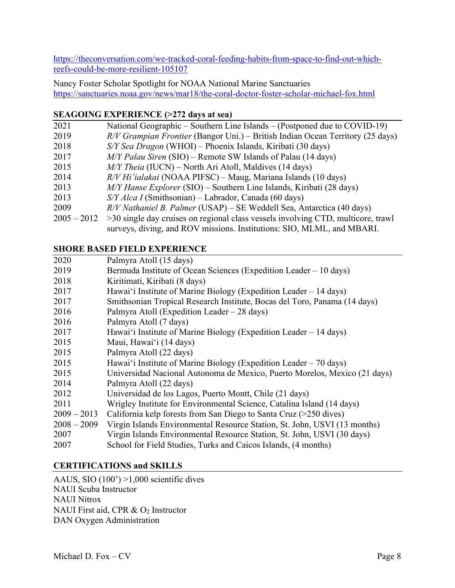https://theconversation.com/we-tracked-coral-feeding-habits-from-space-to-find-out-whichreefs-could-be-more-resilient-105107

Nancy Foster Scholar Spotlight for NOAA National Marine Sanctuaries https://sanctuaries.noaa.gov/news/mar18/the-coral-doctor-foster-scholar-michael-fox.html

# **SEAGOING EXPERIENCE (>272 days at sea)**

| 2021          | National Geographic – Southern Line Islands – (Postponed due to COVID-19)        |
|---------------|----------------------------------------------------------------------------------|
| 2019          | $R/V$ Grampian Frontier (Bangor Uni.) – British Indian Ocean Territory (25 days) |
| 2018          | S/Y Sea Dragon (WHOI) – Phoenix Islands, Kiribati (30 days)                      |
| 2017          | $M/Y$ Palau Siren (SIO) – Remote SW Islands of Palau (14 days)                   |
| 2015          | M/Y Theia (IUCN) – North Ari Atoll, Maldives (14 days)                           |
| 2014          | $R/V$ Hi'ialakai (NOAA PIFSC) – Maug, Mariana Islands (10 days)                  |
| 2013          | $M/Y$ Hanse Explorer (SIO) – Southern Line Islands, Kiribati (28 days)           |
| 2013          | $S/Y$ Alca I (Smithsonian) – Labrador, Canada (60 days)                          |
| 2009          | R/V Nathaniel B. Palmer (USAP) - SE Weddell Sea, Antarctica (40 days)            |
| $2005 - 2012$ | >30 single day cruises on regional class vessels involving CTD, multicore, trawl |
|               | surveys, diving, and ROV missions. Institutions: SIO, MLML, and MBARI.           |

# **SHORE BASED FIELD EXPERIENCE**

| 2020          | Palmyra Atoll (15 days)                                                   |
|---------------|---------------------------------------------------------------------------|
| 2019          | Bermuda Institute of Ocean Sciences (Expedition Leader – 10 days)         |
| 2018          | Kiritimati, Kiribati (8 days)                                             |
| 2017          | Hawai'i Institute of Marine Biology (Expedition Leader – 14 days)         |
| 2017          | Smithsonian Tropical Research Institute, Bocas del Toro, Panama (14 days) |
| 2016          | Palmyra Atoll (Expedition Leader – 28 days)                               |
| 2016          | Palmyra Atoll (7 days)                                                    |
| 2017          | Hawai'i Institute of Marine Biology (Expedition Leader – 14 days)         |
| 2015          | Maui, Hawai'i (14 days)                                                   |
| 2015          | Palmyra Atoll (22 days)                                                   |
| 2015          | Hawai'i Institute of Marine Biology (Expedition Leader $-70$ days)        |
| 2015          | Universidad Nacional Autonoma de Mexico, Puerto Morelos, Mexico (21 days) |
| 2014          | Palmyra Atoll (22 days)                                                   |
| 2012          | Universidad de los Lagos, Puerto Montt, Chile (21 days)                   |
| 2011          | Wrigley Institute for Environmental Science, Catalina Island (14 days)    |
| $2009 - 2013$ | California kelp forests from San Diego to Santa Cruz $($ >250 dives)      |
| $2008 - 2009$ | Virgin Islands Environmental Resource Station, St. John, USVI (13 months) |
| 2007          | Virgin Islands Environmental Resource Station, St. John, USVI (30 days)   |
| 2007          | School for Field Studies, Turks and Caicos Islands, (4 months)            |
|               |                                                                           |

# **CERTIFICATIONS and SKILLS**

AAUS, SIO (100') >1,000 scientific dives NAUI Scuba Instructor NAUI Nitrox NAUI First aid, CPR & O<sub>2</sub> Instructor DAN Oxygen Administration